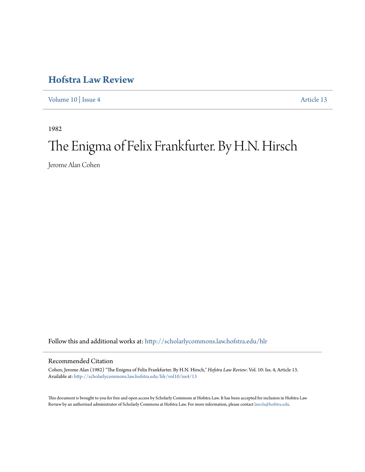## **[Hofstra Law Review](http://scholarlycommons.law.hofstra.edu/hlr?utm_source=scholarlycommons.law.hofstra.edu%2Fhlr%2Fvol10%2Fiss4%2F13&utm_medium=PDF&utm_campaign=PDFCoverPages)**

[Volume 10](http://scholarlycommons.law.hofstra.edu/hlr/vol10?utm_source=scholarlycommons.law.hofstra.edu%2Fhlr%2Fvol10%2Fiss4%2F13&utm_medium=PDF&utm_campaign=PDFCoverPages) | [Issue 4](http://scholarlycommons.law.hofstra.edu/hlr/vol10/iss4?utm_source=scholarlycommons.law.hofstra.edu%2Fhlr%2Fvol10%2Fiss4%2F13&utm_medium=PDF&utm_campaign=PDFCoverPages) [Article 13](http://scholarlycommons.law.hofstra.edu/hlr/vol10/iss4/13?utm_source=scholarlycommons.law.hofstra.edu%2Fhlr%2Fvol10%2Fiss4%2F13&utm_medium=PDF&utm_campaign=PDFCoverPages)

1982

# The Enigma of Felix Frankfurter. By H.N. Hirsch

Jerome Alan Cohen

Follow this and additional works at: [http://scholarlycommons.law.hofstra.edu/hlr](http://scholarlycommons.law.hofstra.edu/hlr?utm_source=scholarlycommons.law.hofstra.edu%2Fhlr%2Fvol10%2Fiss4%2F13&utm_medium=PDF&utm_campaign=PDFCoverPages)

### Recommended Citation

Cohen, Jerome Alan (1982) "The Enigma of Felix Frankfurter. By H.N. Hirsch," *Hofstra Law Review*: Vol. 10: Iss. 4, Article 13. Available at: [http://scholarlycommons.law.hofstra.edu/hlr/vol10/iss4/13](http://scholarlycommons.law.hofstra.edu/hlr/vol10/iss4/13?utm_source=scholarlycommons.law.hofstra.edu%2Fhlr%2Fvol10%2Fiss4%2F13&utm_medium=PDF&utm_campaign=PDFCoverPages)

This document is brought to you for free and open access by Scholarly Commons at Hofstra Law. It has been accepted for inclusion in Hofstra Law Review by an authorized administrator of Scholarly Commons at Hofstra Law. For more information, please contact [lawcls@hofstra.edu](mailto:lawcls@hofstra.edu).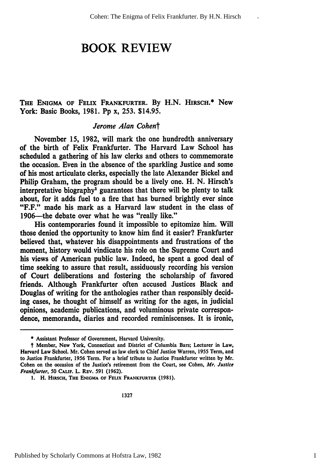## **BOOK REVIEW**

### THE **ENIGMA OF FELIX** FRANKFURTER. **By** H.N. HiRscH.\* New York: Basic Books, 1981. Pp x, 253. \$14.95.

#### *Jerome Alan Cohent*

November 15, 1982, will mark the one hundredth anniversary of the birth of Felix Frankfurter. The Harvard Law School has scheduled a gathering of his law clerks and others to commemorate the occasion. Even in the absence of the sparkling Justice and some of his most articulate clerks, especially the late Alexander Bickel and Philip Graham, the program should be a lively one. H. N. Hirsch's interpretative biography<sup>1</sup> guarantees that there will be plenty to talk about, for it adds fuel to a fire that has burned brightly ever since "F.F." made his mark as a Harvard law student in the class of 1906—the debate over what he was "really like."

His contemporaries found it impossible to epitomize him. Will those denied the opportunity to know him find it easier? Frankfurter believed that, whatever his disappointments and frustrations of the moment, history would vindicate his role on the Supreme Court and his views of American public law. Indeed, he spent a good deal of time seeking to assure that result, assiduously recording his version of Court deliberations and fostering the scholarship of favored friends. Although Frankfurter often accused Justices Black and Douglas of writing for the anthologies rather than responsibly deciding cases, he thought of himself as writing for the ages, in judicial opinions, academic publications, and voluminous private correspondence, memoranda, diaries and recorded reminiscenses. It is ironic,

<sup>\*</sup> Assistant Professor of Government, Harvard University.

t Member, New York, Connecticut and District of Columbia Bars; Lecturer in Law, Harvard Law School. Mr. Cohen served as law clerk to Chief Justice Warren, 1955 Term, and to Justice Frankfurter, 1956 Term. For a brief tribute to Justice Frankfurter written by Mr. Cohen on the occasion of the Justice's retirement from the Court, see Cohen, Mr. Justice Frankfurter, 50 **CALIF.** L. REv. 591 (1962).

**<sup>1.</sup>** H. **HIRsCH, THE ENIGMA** OF *FELix* FRANKFURTER **(1981).**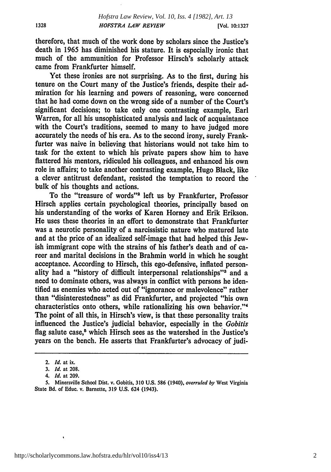therefore, that much of the work done by scholars since the Justice's death in 1965 has diminished his stature. It is especially ironic that much of the ammunition for Professor Hirsch's scholarly attack came from Frankfurter himself.

Yet these ironies are not surprising. As to the first, during his tenure on the Court many of the Justice's friends, despite their admiration for his learning and powers of reasoning, were concerned that he had come down on the wrong side of a number of the Court's significant decisions; to take only one contrasting example, Earl Warren, for all his unsophisticated analysis and lack of acquaintance with the Court's traditions, seemed to many to have judged more accurately the needs of his era. As to the second irony, surely Frankfurter was naive in believing that historians would not take him to task for the extent to which his private papers show him to have flattered his mentors, ridiculed his colleagues, and enhanced his own role in affairs; to take another contrasting example, Hugo Black, like a clever antitrust defendant, resisted the temptation to record the bulk of his thoughts and actions.

To the "treasure of words"<sup>2</sup> left us by Frankfurter, Professor Hirsch applies certain psychological theories, principally based on his understanding of the works of Karen Homey and Erik Erikson. He uses these theories in an effort to demonstrate that Frankfurter was a neurotic personality of a narcissistic nature who matured late and at the price of an idealized self-image that had helped this Jewish immigrant cope with the strains of his father's death and of career and marital decisions in the Brahmin world in which he sought acceptance. According to Hirsch, this ego-defensive, inflated personality had a "history of difficult interpersonal relationships"<sup>3</sup> and a need to dominate others, was always in conflict with persons he identified as enemies who acted out of "ignorance or malevolence" rather than "disinterestedness" as did Frankfurter, and projected "his own characteristics onto others, while rationalizing his own behavior."' The point of all this, in Hirsch's view, is that these personality traits influenced the Justice's judicial behavior, especially in the *Gobitis* flag salute case,<sup>5</sup> which Hirsch sees as the watershed in the Justice's years on the bench. He asserts that Frankfurter's advocacy of judi-

1328

<sup>2.</sup> *Id.* at ix.

**<sup>3.</sup>** *Id.* at **208.**

*<sup>4.</sup> Id.* at **209.**

**<sup>5.</sup>** Minersville School Dist. v. Gobitis, **310 U.S. 586** (1940), *overruled by* West Virginia State Bd. of Educ. v. Barnette, **319 U.S.** 624 (1943).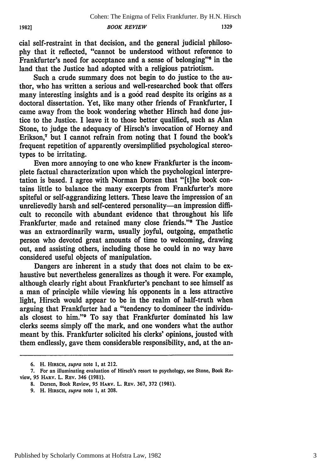cial self-restraint in that decision, and the general judicial philosophy that it reflected, "cannot be understood without reference to Frankfurter's need for acceptance and a sense of belonging"<sup>6</sup> in the land that the Justice had adopted with a religious patriotism.

Such a crude summary does not begin to do justice to the author, who has written a serious and well-researched book that offers many interesting insights and is a good read despite its origins as a doctoral dissertation. Yet, like many other friends of Frankfurter, I came away from the book wondering whether Hirsch had done iustice to the Justice. I leave it to those better qualified, such as Alan Stone, to judge the adequacy of Hirsch's invocation of Homey and Erikson,<sup>7</sup> but I cannot refrain from noting that I found the book's frequent repetition of apparently oversimplified psychological stereotypes to be irritating.

Even more annoying to one who knew Frankfurter is the incomplete factual characterization upon which the psychological interpretation is based. I agree with Norman Dorsen that "[t]he book contains little to balance the many excerpts from Frankfurter's more spiteful or self-aggrandizing letters. These leave the impression of an unrelievedly harsh and self-centered personality-an impression difficult to reconcile with abundant evidence that throughout his life Frankfurter made and retained many close friends."<sup>8</sup> The Justice was an extraordinarily warm, usually joyful, outgoing, empathetic person who devoted great amounts of time to welcoming, drawing out, and assisting others, including those he could in no way have considered useful objects of manipulation.

Dangers are inherent in a study that does not claim to be exhaustive but nevertheless generalizes as though it were. For example, although clearly right about Frankfurter's penchant to see himself as a man of principle while viewing his opponents in a less attractive light, Hirsch would appear to be in the realm of half-truth when arguing that Frankfurter had a "tendency to domineer the individuals closest to him."<sup>9</sup> To say that Frankfurter dominated his law clerks seems simply off the mark, and one wonders what the author meant by this. Frankfurter solicited his clerks' opinions, jousted with them endlessly, gave them considerable responsibility, and, at the an-

**<sup>6.</sup>** H. **HIRSCH,** *supra* note **1,** at 212.

<sup>7.</sup> For an illuminating evaluation of Hirsch's resort to psychology, see Stone, Book Review, **95** HARV. L. REv. 346 **(1981).**

**<sup>8.</sup>** Dorsen, Book Review, 95 **HARV.** L. **REV.** 367, 372 (1981).

<sup>9.</sup> H. **HIRSCH,** *supra* note 1, at 208.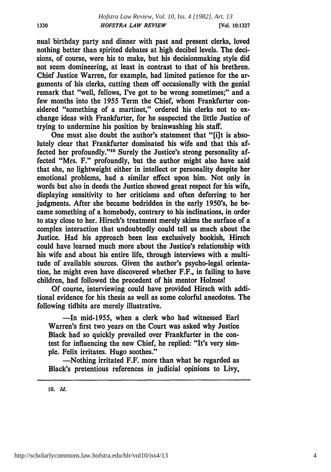nual birthday party and dinner with past and present clerks, loved nothing better than spirited debates at high decibel levels. The decisions, of course, were his to make, but his decisionmaking style did not seem domineering, at least in contrast to that of his brethren. Chief Justice Warren, for example, had limited patience for the arguments of his clerks, cutting them off occasionally with the genial remark that "well, fellows, I've got to be wrong sometimes;" and a few months into the **1955** Term the Chief, whom Frankfurter considered "something of a martinet," ordered his clerks not to exchange ideas with Frankfurter, for he suspected the little Justice of trying to undermine his position **by** brainwashing his staff.

One must also doubt the author's statement that "[i]t is absolutely clear that Frankfurter dominated his wife and that this affected her profoundly."10 Surely the Justice's strong personality affected "Mrs. F." profoundly, but the author might also have said that she, no lightweight either in intellect or personality despite her emotional problems, had a similar effect upon him. Not only in words but also in deeds the Justice showed great respect for his wife, displaying sensitivity to her criticisms and often deferring to her judgments. After she became bedridden in the early 1950's, he became something of a homebody, contrary to his inclinations, in order to stay close to her. Hirsch's treatment merely skims the surface of a complex interaction that undoubtedly could tell us much about the Justice. Had his approach been less exclusively bookish, Hirsch could have learned much more about the Justice's relationship with his wife and about his entire life, through interviews with a multitude of available sources. Given the author's psycho-legal orientation, he might even have discovered whether F.F., in failing to have children, had followed the precedent of his mentor Holmes!

**Of** course, interviewing could have provided Hirsch with additional evidence for his thesis as well as some colorful anecdotes. The following tidbits are merely illustrative.

-In mid-1955, when a clerk who had witnessed Earl Warren's first two years on the Court was asked why Justice Black had so quickly prevailed over Frankfurter in the contest for influencing the new Chief, he replied: "It's very simple. Felix irritates. Hugo soothes."

-Nothing irritated F.F. more than what he regarded as Black's pretentious references in judicial opinions to Livy,

**10.** *Id.*

1330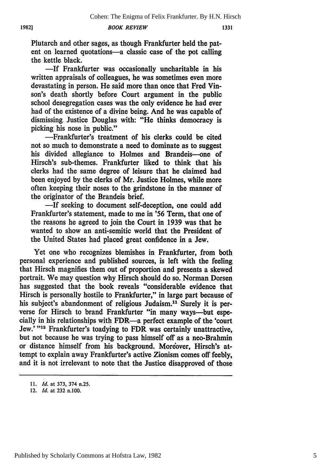*BOOK REVIEW*

Plutarch and other sages, as though Frankfurter held the patent on learned quotations-a classic case of the pot calling the kettle black.

**-If** Frankfurter was occasionally uncharitable in his written appraisals of colleagues, he was sometimes even more devastating in person. He said more than once that Fred Vinson's death shortly before Court argument **in** the public school desegregation cases was the only evidence he had ever had of the existence of a divine being. And he was capable of dismissing. Justice Douglas with: "He thinks democracy is picking his nose in public."

-Frankfurter's treatment of his clerks could be cited not so much to demonstrate a need to dominate as to suggest his divided allegiance to Holmes and Brandeis-one of Hirsch's sub-themes. Frankfurter liked to think that his clerks had the same degree of leisure that he claimed had been enjoyed **by** the clerks of Mr. Justice Holmes, while more often keeping their noses to the grindstone in the manner of the originator of the Brandeis brief.

-If seeking to document self-deception, one could add Frankfurter's statement, made to me in **'56** Term, that one of the reasons he agreed to join the Court in **1939** was that he wanted to show an anti-semitic world that the President of the United States had placed great confidence in a Jew.

Yet one who recognizes blemishes in Frankfurter, from both personal experience and published sources, is left with the feeling that Hirsch magnifies them out of proportion and presents a skewed portrait. We may question why Hirsch should do so. Norman Dorsen has suggested that the book reveals "considerable evidence that Hirsch is personally hostile to Frankfurter," in large part because of his subject's abandonment of religious Judaism.<sup>11</sup> Surely it is perverse for Hirsch to brand Frankfurter "in many ways-but especially in his relationships with FDR-a perfect example of the 'court Jew.' "<sup>12</sup> Frankfurter's toadving to FDR was certainly unattractive, but not because he was trying to pass himself off as a neo-Brahmin or distance himself from his background. Moreover, Hirsch's attempt to explain away Frankfurter's active Zionism comes off feebly, and it is not irrelevant to note that the Justice disapproved of those

*<sup>11.</sup> Id.* at 373, 374 n.25.

<sup>12.</sup> *Id.* at **232** n.100.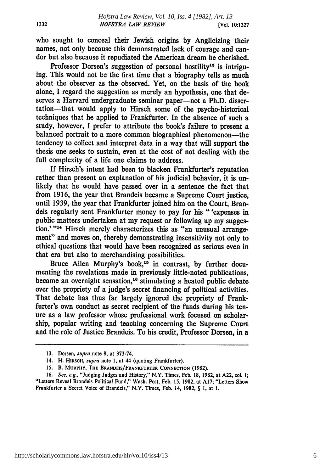who sought to conceal their Jewish origins by Anglicizing their names, not only because this demonstrated lack of courage and candor but also because it repudiated the American dream he cherished.

Professor Dorsen's suggestion of personal hostility<sup>13</sup> is intriguing. This would not be the first time that a biography tells as much about the observer as the observed. Yet, on the basis of the **book** alone, **I** regard the suggestion as merely an hypothesis, one that deserves a Harvard undergraduate seminar paper-not a Ph.D. dissertation-that would apply to Hirsch some of the psycho-historical techniques that he applied to Frankfurter. In the absence of such a study, however, **I** prefer to attribute the book's failure to present a balanced portrait to a more common biographical phenomenon-the tendency to collect and interpret data in a way that will support the thesis one seeks to sustain, even at the cost of not dealing with the full complexity of a life one claims to address.

If Hirsch's intent had been to blacken Frankfurter's reputation rather than present an explanation of his judicial behavior, it is unlikely that he would have passed over in a sentence the fact that from **1916,** the year that Brandeis became a Supreme Court justice, until **1939,** the year that Frankfurter joined him on the Court, Brandeis regularly sent Frankfurter money to pay for his "'expenses in public matters undertaken at my request or following up my suggestion.' "<sup>14</sup> Hirsch merely characterizes this as "an unusual arrangement" and moves on, thereby demonstrating insensitivity not only to ethical questions that would have been recognized as serious even in that era but also to merchandising possibilities.

Bruce Allen Murphy's book,<sup>15</sup> in contrast, by further documenting the revelations made in previously little-noted publications, became an overnight sensation,<sup>16</sup> stimulating a heated public debate over the propriety of a judge's secret financing of political activities. That debate has thus far largely ignored the propriety of Frankfurter's own conduct as secret recipient of the funds during his tenure as a law professor whose professional work focused on scholarship, popular writing and teaching concerning the Supreme Court and the role of Justice Brandeis. To his credit, Professor Dorsen, in a

**<sup>13.</sup>** Dorsen, *supra* note **8,** at **373-74.**

<sup>14.</sup> H. **HIRSCH,** *supra* note **1,** at 44 (quoting Frankfurter).

**<sup>15.</sup> B. MURPHY, THE BRANDEIS/FRANKFURTER CONNECTION (1982).**

**<sup>16.</sup>** *See, e.g.,* "Judging Judges and History," N.Y. Times, Feb. **18, 1982,** at **A22, col. 1;** "Letters Reveal Brandeis Political Fund," Wash. Post, Feb. **15, 1982,** at **A17;** "Letters Show Frankfurter a Secret Voice of Brandeis," N.Y. Times, Feb. 14, **1982,** § **1,** at **1.**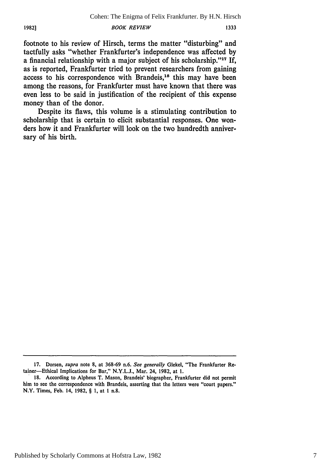**1982)**

*BOOK REVIEW*

footnote to his review of Hirsch, terms the matter "disturbing" and tactfully asks "whether Frankfurter's independence was affected by a financial relationship with a major subject of his scholarship."<sup>17</sup> If, as is reported, Frankfurter tried to prevent researchers from gaining access to his correspondence with Brandeis,<sup>18</sup> this may have been among the reasons, for Frankfurter must have known that there was even less to be said in justification of the recipient of this expense money than of the donor.

Despite its flaws, this volume is a stimulating contribution to scholarship that is certain to elicit substantial responses. One wonders how it and Frankfurter will look on the two hundredth anniversary of his birth.

**<sup>17.</sup>** Dorsen, supra note **8,** at 368-69 n.6. *See generally* Glekel, "The Frankfurter Retainer-Ethical Implications for Bar," N.Y.L.J., Mar. 24, 1982, at 1.

<sup>18.</sup> According to Alpheus T. Mason, Brandeis' biographer, Frankfurter did not permit him to see the correspondence with Brandeis, asserting that the letters were "court papers." N.Y. Times, Feb. 14, 1982, § 1, at **I** n.8.